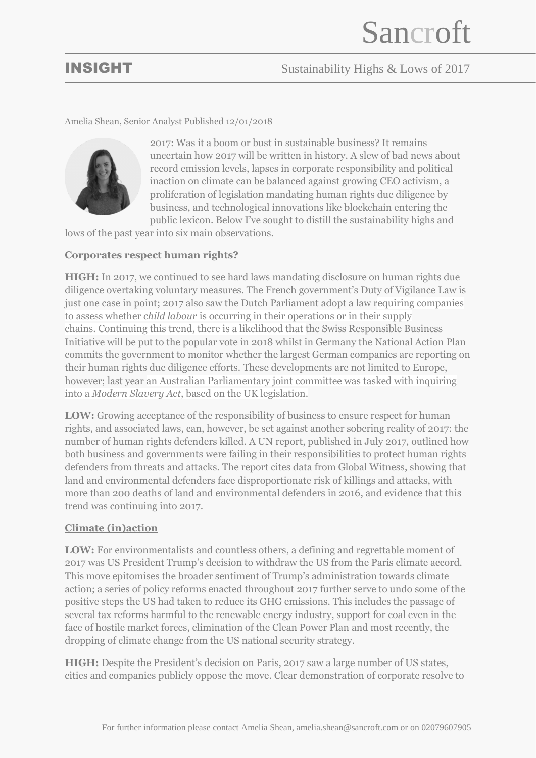# Sancroft

## **INSIGHT** Sustainability Highs & Lows of 2017

#### Amelia Shean, Senior Analyst Published 12/01/2018



2017: Was it a boom or bust in sustainable business? It remains uncertain how 2017 will be written in history. A slew of bad news about record emission levels, lapses in corporate responsibility and political inaction on climate can be balanced against growing CEO activism, a proliferation of legislation mandating human rights due diligence by business, and technological innovations like blockchain entering the public lexicon. Below I've sought to distill the sustainability highs and

lows of the past year into six main observations.

#### **Corporates respect human rights?**

**HIGH:** In 2017, we continued to see hard laws mandating disclosure on human rights due diligence overtaking voluntary measures. The French government's Duty of Vigilance Law is just one case in point; 2017 also saw the Dutch Parliament adopt a law requiring companies to assess whether *child labour* is occurring in their operations or in their supply chains. Continuing this trend, there is a likelihood that the Swiss Responsible Business Initiative will be put to the popular vote in 2018 whilst in Germany the National Action Plan commits the government to monitor whether the largest German companies are reporting on their human rights due diligence efforts. These developments are not limited to Europe, however; last year an Australian Parliamentary joint committee was tasked with inquiring into a *Modern Slavery Act*, based on the UK legislation.

**LOW:** Growing acceptance of the responsibility of business to ensure respect for human rights, and associated laws, can, however, be set against another sobering reality of 2017: the number of human rights defenders killed. A UN report, published in July 2017, outlined how both business and governments were failing in their responsibilities to protect human rights defenders from threats and attacks. The report cites data from Global Witness, showing that land and environmental defenders face disproportionate risk of killings and attacks, with more than 200 deaths of land and environmental defenders in 2016, and evidence that this trend was continuing into 2017.

#### **Climate (in)action**

LOW: For environmentalists and countless others, a defining and regrettable moment of 2017 was US President Trump's decision to withdraw the US from the Paris climate accord. This move epitomises the broader sentiment of Trump's administration towards climate action; a series of policy reforms enacted throughout 2017 further serve to undo some of the positive steps the US had taken to reduce its GHG emissions. This includes the passage of several tax reforms harmful to the renewable energy industry, support for coal even in the face of hostile market forces, elimination of the Clean Power Plan and most recently, the dropping of climate change from the US national security strategy.

**HIGH:** Despite the President's decision on Paris, 2017 saw a large number of US states, cities and companies publicly oppose the move. Clear demonstration of corporate resolve to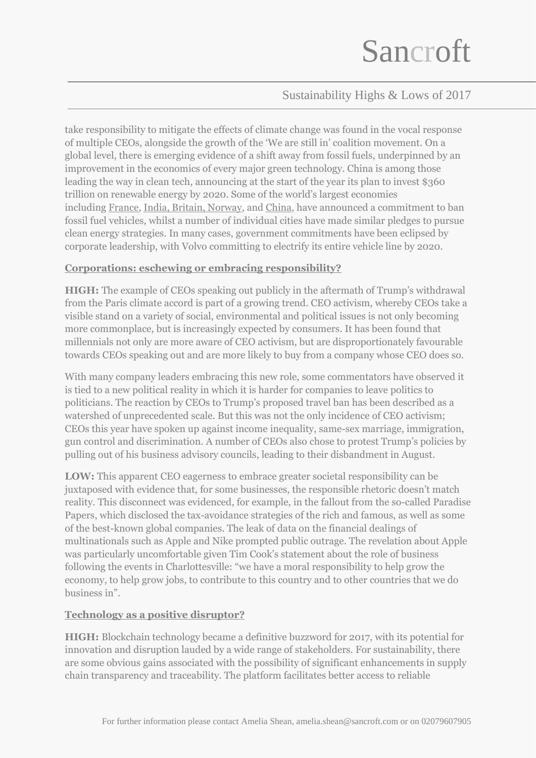# Sancroft

# Sustainability Highs & Lows of 2017

take responsibility to mitigate the effects of climate change was found in the vocal response of multiple CEOs, alongside the growth of the 'We are still in' coalition movement. On a global level, there is emerging evidence of a shift away from fossil fuels, underpinned by an improvement in the economics of every major green technology. China is among those leading the way in clean tech, announcing at the start of the year its plan to invest \$360 trillion on renewable energy by 2020. Some of the world's largest economies including [France,](https://www.nytimes.com/2017/07/06/business/energy-environment/france-cars-ban-gas-diesel.html?emc=edit_tnt_20170707&nlid=46941858&tntemail0=y&_r=0) [India, Britain, Norway,](http://money.cnn.com/2017/07/26/autos/countries-that-are-banning-gas-cars-for-electric/index.html) and [China,](https://www.bloomberg.com/news/articles/2017-09-10/china-s-fossil-fuel-deadline-shifts-focus-to-electric-car-race-j7fktx9z) have announced a commitment to ban fossil fuel vehicles, whilst a number of individual cities have made similar pledges to pursue clean energy strategies. In many cases, government commitments have been eclipsed by corporate leadership, with Volvo committing to electrify its entire vehicle line by 2020.

#### **Corporations: eschewing or embracing responsibility?**

**HIGH:** The example of CEOs speaking out publicly in the aftermath of Trump's withdrawal from the Paris climate accord is part of a growing trend. CEO activism, whereby CEOs take a visible stand on a variety of social, environmental and political issues is not only becoming more commonplace, but is increasingly expected by consumers. It has been found that millennials not only are more aware of CEO activism, but are disproportionately favourable towards CEOs speaking out and are more likely to buy from a company whose CEO does so.

With many company leaders embracing this new role, some commentators have observed it is tied to a new political reality in which it is harder for companies to leave politics to politicians. The reaction by CEOs to Trump's proposed travel ban has been described as a watershed of unprecedented scale. But this was not the only incidence of CEO activism; CEOs this year have spoken up against income inequality, same-sex marriage, immigration, gun control and discrimination. A number of CEOs also chose to protest Trump's policies by pulling out of his business advisory councils, leading to their disbandment in August.

**LOW:** This apparent CEO eagerness to embrace greater societal responsibility can be juxtaposed with evidence that, for some businesses, the responsible rhetoric doesn't match reality. This disconnect was evidenced, for example, in the fallout from the so-called Paradise Papers, which disclosed the tax-avoidance strategies of the rich and famous, as well as some of the best-known global companies. The leak of data on the financial dealings of multinationals such as Apple and Nike prompted public outrage. The revelation about Apple was particularly uncomfortable given Tim Cook's statement about the role of business following the events in Charlottesville: "we have a moral responsibility to help grow the economy, to help grow jobs, to contribute to this country and to other countries that we do business in".

#### **Technology as a positive disruptor?**

**HIGH:** Blockchain technology became a definitive buzzword for 2017, with its potential for innovation and disruption lauded by a wide range of stakeholders. For sustainability, there are some obvious gains associated with the possibility of significant enhancements in supply chain transparency and traceability. The platform facilitates better access to reliable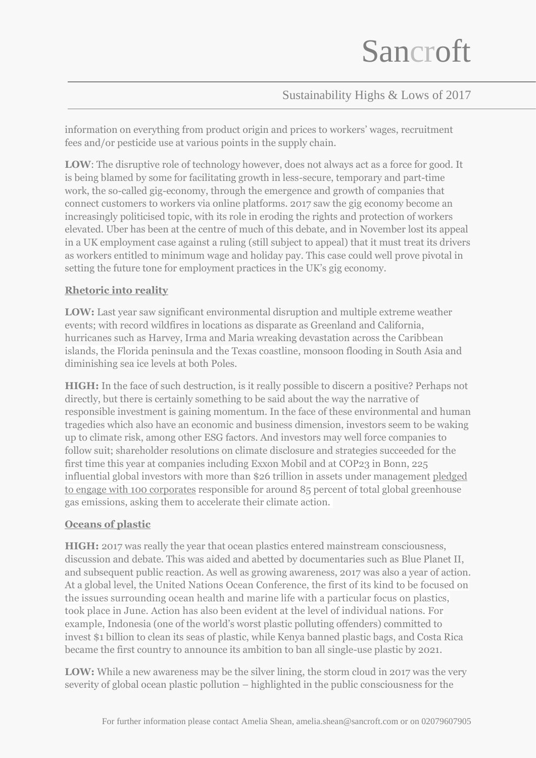## Sustainability Highs & Lows of 2017

information on everything from product origin and prices to workers' wages, recruitment fees and/or pesticide use at various points in the supply chain.

**LOW**: The disruptive role of technology however, does not always act as a force for good. It is being blamed by some for facilitating growth in less-secure, temporary and part-time work, the so-called gig-economy, through the emergence and growth of companies that connect customers to workers via online platforms. 2017 saw the gig economy become an increasingly politicised topic, with its role in eroding the rights and protection of workers elevated. Uber has been at the centre of much of this debate, and in November lost its appeal in a UK employment case against a ruling (still subject to appeal) that it must treat its drivers as workers entitled to minimum wage and holiday pay. This case could well prove pivotal in setting the future tone for employment practices in the UK's gig economy.

### **Rhetoric into reality**

**LOW:** Last year saw significant environmental disruption and multiple extreme weather events; with record wildfires in locations as disparate as Greenland and California, hurricanes such as Harvey, Irma and Maria wreaking devastation across the Caribbean islands, the Florida peninsula and the Texas coastline, monsoon flooding in South Asia and diminishing sea ice levels at both Poles.

**HIGH:** In the face of such destruction, is it really possible to discern a positive? Perhaps not directly, but there is certainly something to be said about the way the narrative of responsible investment is gaining momentum. In the face of these environmental and human tragedies which also have an economic and business dimension, investors seem to be waking up to climate risk, among other ESG factors. And investors may well force companies to follow suit; shareholder resolutions on climate disclosure and strategies succeeded for the first time this year at companies including Exxon Mobil and at COP23 in Bonn, 225 influential global investors with more than \$26 trillion in assets under management [pledged](https://www.greenbiz.com/article/influential-investors-urge-100-carbon-intensive-companies-step-climate-action) to engage with 100 [corporates](https://www.greenbiz.com/article/influential-investors-urge-100-carbon-intensive-companies-step-climate-action) responsible for around 85 percent of total global greenhouse gas emissions, asking them to accelerate their climate action.

#### **Oceans of plastic**

**HIGH:** 2017 was really the year that ocean plastics entered mainstream consciousness, discussion and debate. This was aided and abetted by documentaries such as Blue Planet II, and subsequent public reaction. As well as growing awareness, 2017 was also a year of action. At a global level, the United Nations Ocean Conference, the first of its kind to be focused on the issues surrounding ocean health and marine life with a particular focus on plastics, took place in June. Action has also been evident at the level of individual nations. For example, Indonesia (one of the world's worst plastic polluting offenders) committed to invest \$1 billion to clean its seas of plastic, while Kenya banned plastic bags, and Costa Rica became the first country to announce its ambition to ban all single-use plastic by 2021.

**LOW:** While a new awareness may be the silver lining, the storm cloud in 2017 was the very severity of global ocean plastic pollution – highlighted in the public consciousness for the